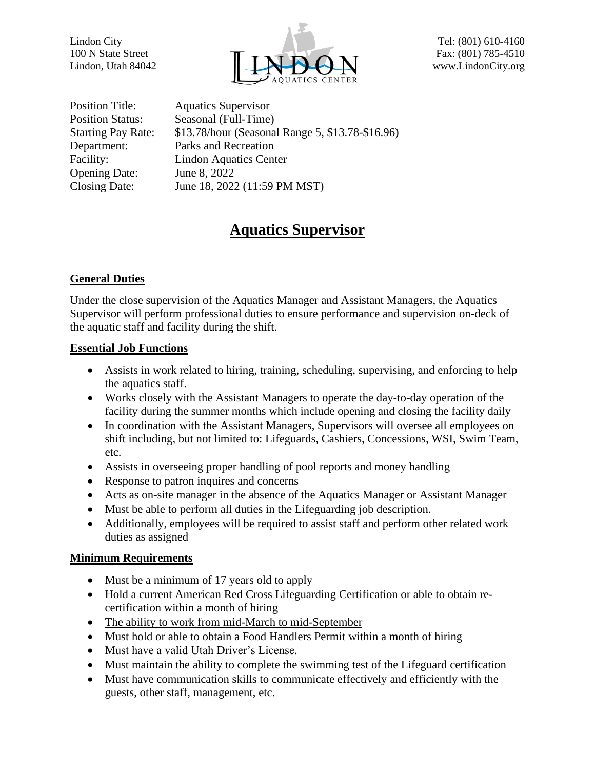

Position Title: Aquatics Supervisor Position Status: Seasonal (Full-Time) Department: Parks and Recreation Facility: Lindon Aquatics Center Opening Date: June 8, 2022 Closing Date: June 18, 2022 (11:59 PM MST)

Starting Pay Rate: \$13.78/hour (Seasonal Range 5, \$13.78-\$16.96)

# **Aquatics Supervisor**

## **General Duties**

Under the close supervision of the Aquatics Manager and Assistant Managers, the Aquatics Supervisor will perform professional duties to ensure performance and supervision on-deck of the aquatic staff and facility during the shift.

## **Essential Job Functions**

- Assists in work related to hiring, training, scheduling, supervising, and enforcing to help the aquatics staff.
- Works closely with the Assistant Managers to operate the day-to-day operation of the facility during the summer months which include opening and closing the facility daily
- In coordination with the Assistant Managers, Supervisors will oversee all employees on shift including, but not limited to: Lifeguards, Cashiers, Concessions, WSI, Swim Team, etc.
- Assists in overseeing proper handling of pool reports and money handling
- Response to patron inquires and concerns
- Acts as on-site manager in the absence of the Aquatics Manager or Assistant Manager
- Must be able to perform all duties in the Lifeguarding job description.
- Additionally, employees will be required to assist staff and perform other related work duties as assigned

### **Minimum Requirements**

- Must be a minimum of 17 years old to apply
- Hold a current American Red Cross Lifeguarding Certification or able to obtain recertification within a month of hiring
- The ability to work from mid-March to mid-September
- Must hold or able to obtain a Food Handlers Permit within a month of hiring
- Must have a valid Utah Driver's License.
- Must maintain the ability to complete the swimming test of the Lifeguard certification
- Must have communication skills to communicate effectively and efficiently with the guests, other staff, management, etc.